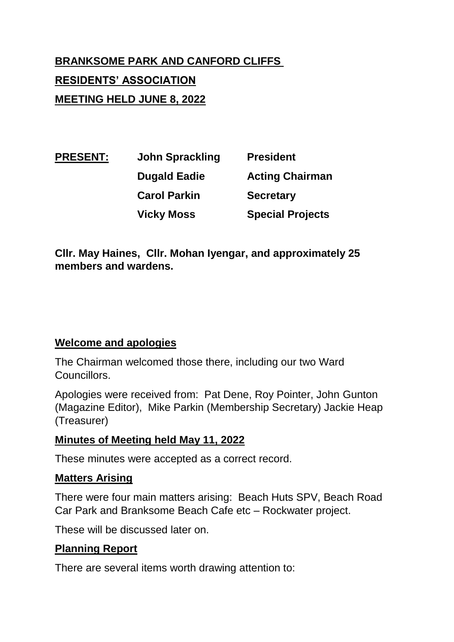# **BRANKSOME PARK AND CANFORD CLIFFS RESIDENTS' ASSOCIATION MEETING HELD JUNE 8, 2022**

**PRESENT: John Sprackling President Dugald Eadie Acting Chairman Carol Parkin Secretary Vicky Moss Special Projects**

**Cllr. May Haines, Cllr. Mohan Iyengar, and approximately 25 members and wardens.**

## **Welcome and apologies**

The Chairman welcomed those there, including our two Ward Councillors.

Apologies were received from: Pat Dene, Roy Pointer, John Gunton (Magazine Editor), Mike Parkin (Membership Secretary) Jackie Heap (Treasurer)

## **Minutes of Meeting held May 11, 2022**

These minutes were accepted as a correct record.

## **Matters Arising**

There were four main matters arising: Beach Huts SPV, Beach Road Car Park and Branksome Beach Cafe etc – Rockwater project.

These will be discussed later on.

## **Planning Report**

There are several items worth drawing attention to: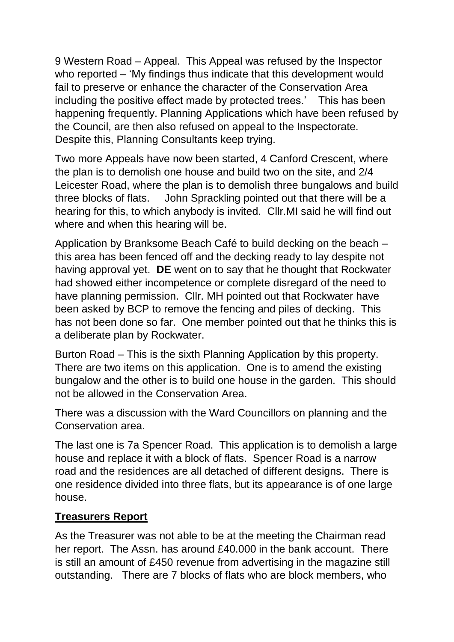9 Western Road – Appeal. This Appeal was refused by the Inspector who reported – 'My findings thus indicate that this development would fail to preserve or enhance the character of the Conservation Area including the positive effect made by protected trees.' This has been happening frequently. Planning Applications which have been refused by the Council, are then also refused on appeal to the Inspectorate. Despite this, Planning Consultants keep trying.

Two more Appeals have now been started, 4 Canford Crescent, where the plan is to demolish one house and build two on the site, and 2/4 Leicester Road, where the plan is to demolish three bungalows and build three blocks of flats. John Sprackling pointed out that there will be a hearing for this, to which anybody is invited. Cllr.MI said he will find out where and when this hearing will be.

Application by Branksome Beach Café to build decking on the beach – this area has been fenced off and the decking ready to lay despite not having approval yet. **DE** went on to say that he thought that Rockwater had showed either incompetence or complete disregard of the need to have planning permission. Cllr. MH pointed out that Rockwater have been asked by BCP to remove the fencing and piles of decking. This has not been done so far. One member pointed out that he thinks this is a deliberate plan by Rockwater.

Burton Road – This is the sixth Planning Application by this property. There are two items on this application. One is to amend the existing bungalow and the other is to build one house in the garden. This should not be allowed in the Conservation Area.

There was a discussion with the Ward Councillors on planning and the Conservation area.

The last one is 7a Spencer Road. This application is to demolish a large house and replace it with a block of flats. Spencer Road is a narrow road and the residences are all detached of different designs. There is one residence divided into three flats, but its appearance is of one large house.

## **Treasurers Report**

As the Treasurer was not able to be at the meeting the Chairman read her report. The Assn. has around £40.000 in the bank account. There is still an amount of £450 revenue from advertising in the magazine still outstanding. There are 7 blocks of flats who are block members, who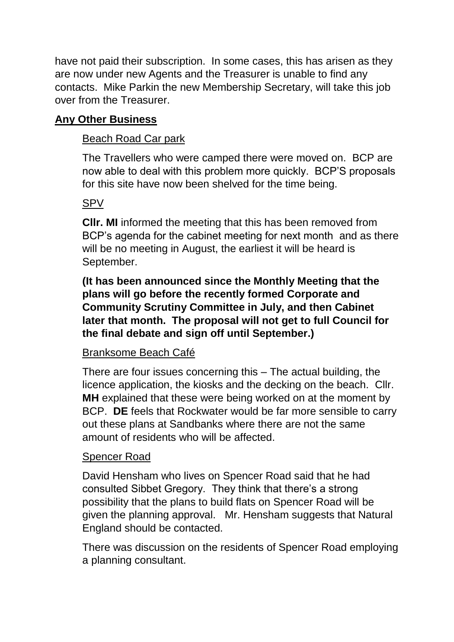have not paid their subscription. In some cases, this has arisen as they are now under new Agents and the Treasurer is unable to find any contacts. Mike Parkin the new Membership Secretary, will take this job over from the Treasurer.

## **Any Other Business**

## Beach Road Car park

The Travellers who were camped there were moved on. BCP are now able to deal with this problem more quickly. BCP'S proposals for this site have now been shelved for the time being.

## SPV

**Cllr. MI** informed the meeting that this has been removed from BCP's agenda for the cabinet meeting for next month and as there will be no meeting in August, the earliest it will be heard is September.

**(It has been announced since the Monthly Meeting that the plans will go before the recently formed Corporate and Community Scrutiny Committee in July, and then Cabinet later that month. The proposal will not get to full Council for the final debate and sign off until September.)**

#### Branksome Beach Café

There are four issues concerning this – The actual building, the licence application, the kiosks and the decking on the beach. Cllr. **MH** explained that these were being worked on at the moment by BCP. **DE** feels that Rockwater would be far more sensible to carry out these plans at Sandbanks where there are not the same amount of residents who will be affected.

## Spencer Road

David Hensham who lives on Spencer Road said that he had consulted Sibbet Gregory. They think that there's a strong possibility that the plans to build flats on Spencer Road will be given the planning approval. Mr. Hensham suggests that Natural England should be contacted.

There was discussion on the residents of Spencer Road employing a planning consultant.